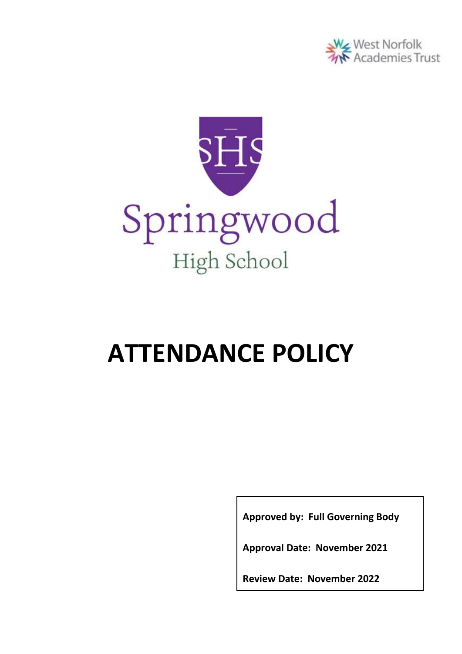



# **ATTENDANCE POLICY**

**Approved by: Full Governing Body**

**Approval Date: November 2021**

**Review Date: November 2022**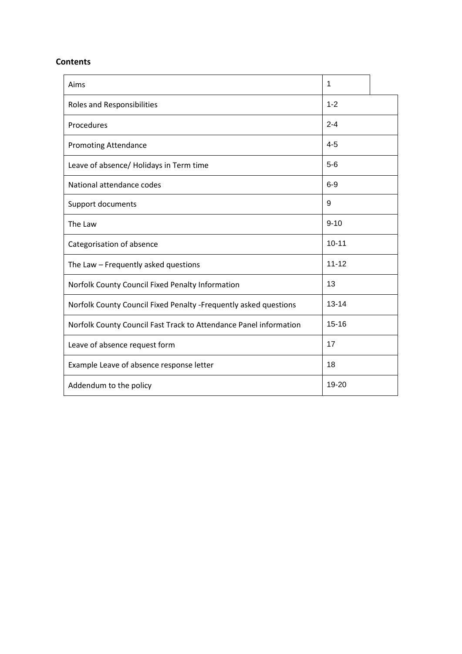# **Contents**

| Aims                                                              | 1         |  |
|-------------------------------------------------------------------|-----------|--|
| Roles and Responsibilities                                        | $1 - 2$   |  |
| Procedures                                                        | $2 - 4$   |  |
| <b>Promoting Attendance</b>                                       | $4 - 5$   |  |
| Leave of absence/ Holidays in Term time                           | $5-6$     |  |
| National attendance codes                                         | $6-9$     |  |
| Support documents                                                 | 9         |  |
| The Law                                                           | $9 - 10$  |  |
| Categorisation of absence                                         | $10 - 11$ |  |
| The Law - Frequently asked questions                              | $11 - 12$ |  |
| Norfolk County Council Fixed Penalty Information                  | 13        |  |
| Norfolk County Council Fixed Penalty -Frequently asked questions  | $13 - 14$ |  |
| Norfolk County Council Fast Track to Attendance Panel information | $15 - 16$ |  |
| Leave of absence request form                                     | 17        |  |
| Example Leave of absence response letter                          | 18        |  |
| Addendum to the policy                                            | 19-20     |  |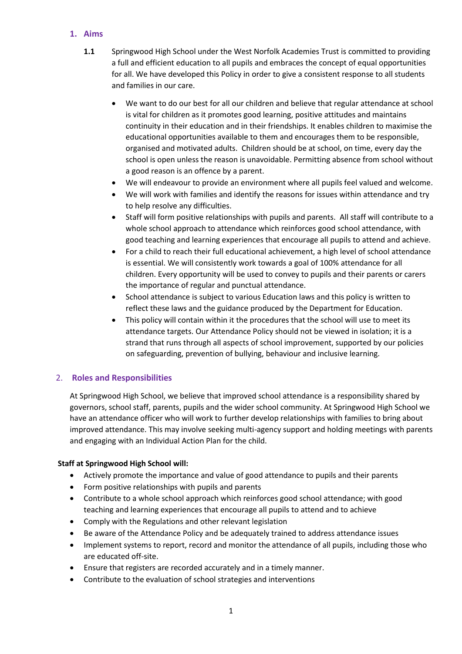# **1. Aims**

- **1.1** Springwood High School under the West Norfolk Academies Trust is committed to providing a full and efficient education to all pupils and embraces the concept of equal opportunities for all. We have developed this Policy in order to give a consistent response to all students and families in our care.
	- We want to do our best for all our children and believe that regular attendance at school is vital for children as it promotes good learning, positive attitudes and maintains continuity in their education and in their friendships. It enables children to maximise the educational opportunities available to them and encourages them to be responsible, organised and motivated adults. Children should be at school, on time, every day the school is open unless the reason is unavoidable. Permitting absence from school without a good reason is an offence by a parent.
	- We will endeavour to provide an environment where all pupils feel valued and welcome.
	- We will work with families and identify the reasons for issues within attendance and try to help resolve any difficulties.
	- Staff will form positive relationships with pupils and parents. All staff will contribute to a whole school approach to attendance which reinforces good school attendance, with good teaching and learning experiences that encourage all pupils to attend and achieve.
	- For a child to reach their full educational achievement, a high level of school attendance is essential. We will consistently work towards a goal of 100% attendance for all children. Every opportunity will be used to convey to pupils and their parents or carers the importance of regular and punctual attendance.
	- School attendance is subject to various Education laws and this policy is written to reflect these laws and the guidance produced by the Department for Education.
	- This policy will contain within it the procedures that the school will use to meet its attendance targets. Our Attendance Policy should not be viewed in isolation; it is a strand that runs through all aspects of school improvement, supported by our policies on safeguarding, prevention of bullying, behaviour and inclusive learning.

# 2. **Roles and Responsibilities**

At Springwood High School, we believe that improved school attendance is a responsibility shared by governors, school staff, parents, pupils and the wider school community. At Springwood High School we have an attendance officer who will work to further develop relationships with families to bring about improved attendance. This may involve seeking multi-agency support and holding meetings with parents and engaging with an Individual Action Plan for the child.

# **Staff at Springwood High School will:**

- Actively promote the importance and value of good attendance to pupils and their parents
- Form positive relationships with pupils and parents
- Contribute to a whole school approach which reinforces good school attendance; with good teaching and learning experiences that encourage all pupils to attend and to achieve
- Comply with the Regulations and other relevant legislation
- Be aware of the Attendance Policy and be adequately trained to address attendance issues
- Implement systems to report, record and monitor the attendance of all pupils, including those who are educated off-site.
- Ensure that registers are recorded accurately and in a timely manner.
- Contribute to the evaluation of school strategies and interventions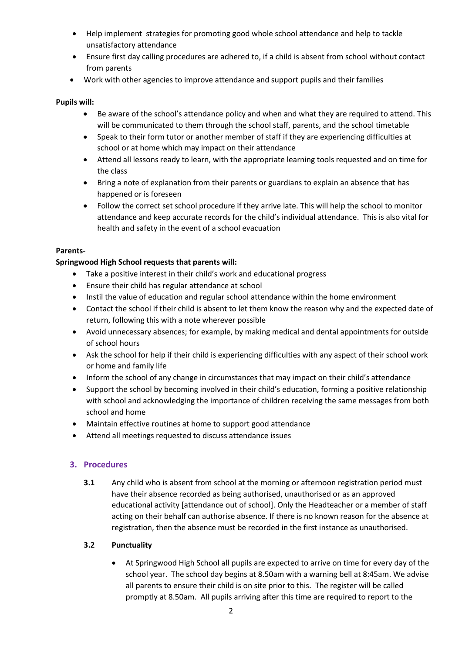- Help implement strategies for promoting good whole school attendance and help to tackle unsatisfactory attendance
- Ensure first day calling procedures are adhered to, if a child is absent from school without contact from parents
- Work with other agencies to improve attendance and support pupils and their families

## **Pupils will:**

- Be aware of the school's attendance policy and when and what they are required to attend. This will be communicated to them through the school staff, parents, and the school timetable
- Speak to their form tutor or another member of staff if they are experiencing difficulties at school or at home which may impact on their attendance
- Attend all lessons ready to learn, with the appropriate learning tools requested and on time for the class
- Bring a note of explanation from their parents or guardians to explain an absence that has happened or is foreseen
- Follow the correct set school procedure if they arrive late. This will help the school to monitor attendance and keep accurate records for the child's individual attendance. This is also vital for health and safety in the event of a school evacuation

#### **Parents-**

#### **Springwood High School requests that parents will:**

- Take a positive interest in their child's work and educational progress
- Ensure their child has regular attendance at school
- Instil the value of education and regular school attendance within the home environment
- Contact the school if their child is absent to let them know the reason why and the expected date of return, following this with a note wherever possible
- Avoid unnecessary absences; for example, by making medical and dental appointments for outside of school hours
- Ask the school for help if their child is experiencing difficulties with any aspect of their school work or home and family life
- Inform the school of any change in circumstances that may impact on their child's attendance
- Support the school by becoming involved in their child's education, forming a positive relationship with school and acknowledging the importance of children receiving the same messages from both school and home
- Maintain effective routines at home to support good attendance
- Attend all meetings requested to discuss attendance issues

# **3. Procedures**

**3.1** Any child who is absent from school at the morning or afternoon registration period must have their absence recorded as being authorised, unauthorised or as an approved educational activity [attendance out of school]. Only the Headteacher or a member of staff acting on their behalf can authorise absence. If there is no known reason for the absence at registration, then the absence must be recorded in the first instance as unauthorised.

# **3.2 Punctuality**

 At Springwood High School all pupils are expected to arrive on time for every day of the school year. The school day begins at 8.50am with a warning bell at 8:45am. We advise all parents to ensure their child is on site prior to this. The register will be called promptly at 8.50am. All pupils arriving after this time are required to report to the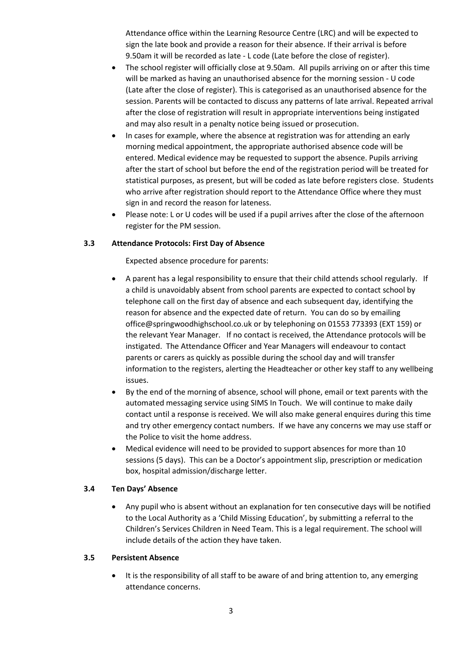Attendance office within the Learning Resource Centre (LRC) and will be expected to sign the late book and provide a reason for their absence. If their arrival is before 9.50am it will be recorded as late - L code (Late before the close of register).

- The school register will officially close at 9.50am. All pupils arriving on or after this time will be marked as having an unauthorised absence for the morning session - U code (Late after the close of register). This is categorised as an unauthorised absence for the session. Parents will be contacted to discuss any patterns of late arrival. Repeated arrival after the close of registration will result in appropriate interventions being instigated and may also result in a penalty notice being issued or prosecution.
- In cases for example, where the absence at registration was for attending an early morning medical appointment, the appropriate authorised absence code will be entered. Medical evidence may be requested to support the absence. Pupils arriving after the start of school but before the end of the registration period will be treated for statistical purposes, as present, but will be coded as late before registers close. Students who arrive after registration should report to the Attendance Office where they must sign in and record the reason for lateness.
- Please note: L or U codes will be used if a pupil arrives after the close of the afternoon register for the PM session.

#### **3.3 Attendance Protocols: First Day of Absence**

Expected absence procedure for parents:

- A parent has a legal responsibility to ensure that their child attends school regularly. If a child is unavoidably absent from school parents are expected to contact school by telephone call on the first day of absence and each subsequent day, identifying the reason for absence and the expected date of return. You can do so by emailing office@springwoodhighschool.co.uk or by telephoning on 01553 773393 (EXT 159) or the relevant Year Manager. If no contact is received, the Attendance protocols will be instigated. The Attendance Officer and Year Managers will endeavour to contact parents or carers as quickly as possible during the school day and will transfer information to the registers, alerting the Headteacher or other key staff to any wellbeing issues.
- By the end of the morning of absence, school will phone, email or text parents with the automated messaging service using SIMS In Touch. We will continue to make daily contact until a response is received. We will also make general enquires during this time and try other emergency contact numbers. If we have any concerns we may use staff or the Police to visit the home address.
- Medical evidence will need to be provided to support absences for more than 10 sessions (5 days). This can be a Doctor's appointment slip, prescription or medication box, hospital admission/discharge letter.

#### **3.4 Ten Days' Absence**

 Any pupil who is absent without an explanation for ten consecutive days will be notified to the Local Authority as a 'Child Missing Education', by submitting a referral to the Children's Services Children in Need Team. This is a legal requirement. The school will include details of the action they have taken.

#### **3.5 Persistent Absence**

• It is the responsibility of all staff to be aware of and bring attention to, any emerging attendance concerns.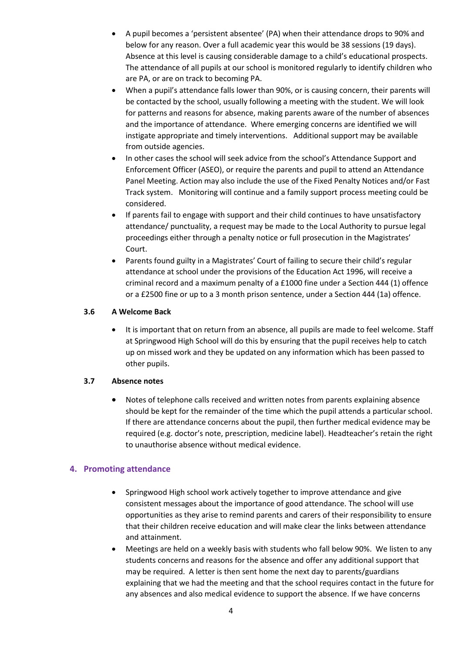- A pupil becomes a 'persistent absentee' (PA) when their attendance drops to 90% and below for any reason. Over a full academic year this would be 38 sessions (19 days). Absence at this level is causing considerable damage to a child's educational prospects. The attendance of all pupils at our school is monitored regularly to identify children who are PA, or are on track to becoming PA.
- When a pupil's attendance falls lower than 90%, or is causing concern, their parents will be contacted by the school, usually following a meeting with the student. We will look for patterns and reasons for absence, making parents aware of the number of absences and the importance of attendance. Where emerging concerns are identified we will instigate appropriate and timely interventions. Additional support may be available from outside agencies.
- In other cases the school will seek advice from the school's Attendance Support and Enforcement Officer (ASEO), or require the parents and pupil to attend an Attendance Panel Meeting. Action may also include the use of the Fixed Penalty Notices and/or Fast Track system. Monitoring will continue and a family support process meeting could be considered.
- If parents fail to engage with support and their child continues to have unsatisfactory attendance/ punctuality, a request may be made to the Local Authority to pursue legal proceedings either through a penalty notice or full prosecution in the Magistrates' Court.
- Parents found guilty in a Magistrates' Court of failing to secure their child's regular attendance at school under the provisions of the Education Act 1996, will receive a criminal record and a maximum penalty of a £1000 fine under a Section 444 (1) offence or a £2500 fine or up to a 3 month prison sentence, under a Section 444 (1a) offence.

# **3.6 A Welcome Back**

 It is important that on return from an absence, all pupils are made to feel welcome. Staff at Springwood High School will do this by ensuring that the pupil receives help to catch up on missed work and they be updated on any information which has been passed to other pupils.

# **3.7 Absence notes**

 Notes of telephone calls received and written notes from parents explaining absence should be kept for the remainder of the time which the pupil attends a particular school. If there are attendance concerns about the pupil, then further medical evidence may be required (e.g. doctor's note, prescription, medicine label). Headteacher's retain the right to unauthorise absence without medical evidence.

# **4. Promoting attendance**

- Springwood High school work actively together to improve attendance and give consistent messages about the importance of good attendance. The school will use opportunities as they arise to remind parents and carers of their responsibility to ensure that their children receive education and will make clear the links between attendance and attainment.
- Meetings are held on a weekly basis with students who fall below 90%. We listen to any students concerns and reasons for the absence and offer any additional support that may be required. A letter is then sent home the next day to parents/guardians explaining that we had the meeting and that the school requires contact in the future for any absences and also medical evidence to support the absence. If we have concerns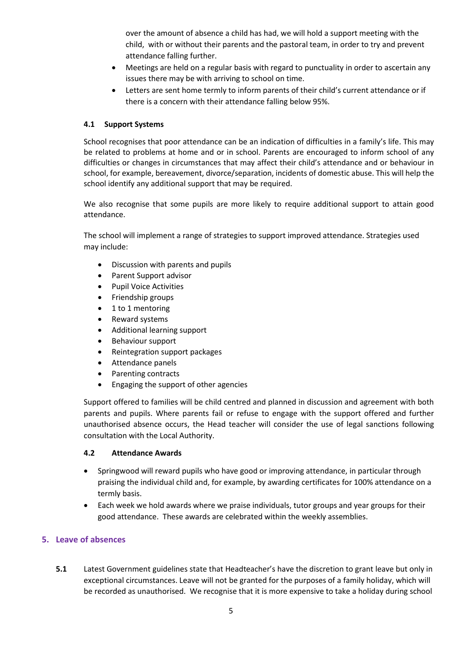over the amount of absence a child has had, we will hold a support meeting with the child, with or without their parents and the pastoral team, in order to try and prevent attendance falling further.

- Meetings are held on a regular basis with regard to punctuality in order to ascertain any issues there may be with arriving to school on time.
- Letters are sent home termly to inform parents of their child's current attendance or if there is a concern with their attendance falling below 95%.

# **4.1 Support Systems**

School recognises that poor attendance can be an indication of difficulties in a family's life. This may be related to problems at home and or in school. Parents are encouraged to inform school of any difficulties or changes in circumstances that may affect their child's attendance and or behaviour in school, for example, bereavement, divorce/separation, incidents of domestic abuse. This will help the school identify any additional support that may be required.

We also recognise that some pupils are more likely to require additional support to attain good attendance.

The school will implement a range of strategies to support improved attendance. Strategies used may include:

- Discussion with parents and pupils
- Parent Support advisor
- Pupil Voice Activities
- Friendship groups
- $\bullet$  1 to 1 mentoring
- Reward systems
- Additional learning support
- Behaviour support
- Reintegration support packages
- Attendance panels
- Parenting contracts
- Engaging the support of other agencies

Support offered to families will be child centred and planned in discussion and agreement with both parents and pupils. Where parents fail or refuse to engage with the support offered and further unauthorised absence occurs, the Head teacher will consider the use of legal sanctions following consultation with the Local Authority.

# **4.2 Attendance Awards**

- Springwood will reward pupils who have good or improving attendance, in particular through praising the individual child and, for example, by awarding certificates for 100% attendance on a termly basis.
- Each week we hold awards where we praise individuals, tutor groups and year groups for their good attendance. These awards are celebrated within the weekly assemblies.

# **5. Leave of absences**

**5.1** Latest Government guidelines state that Headteacher's have the discretion to grant leave but only in exceptional circumstances. Leave will not be granted for the purposes of a family holiday, which will be recorded as unauthorised. We recognise that it is more expensive to take a holiday during school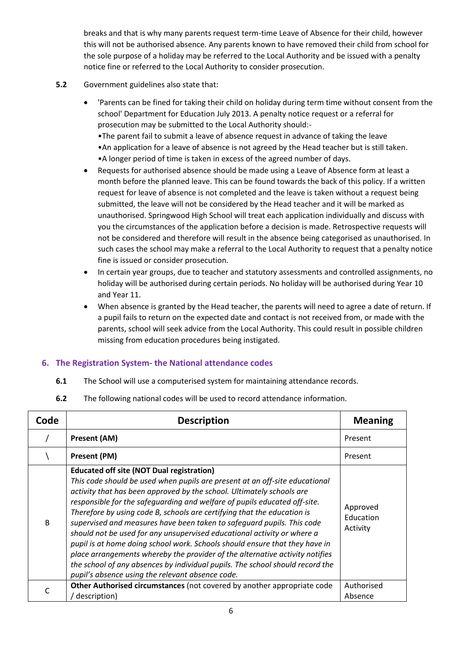breaks and that is why many parents request term-time Leave of Absence for their child, however this will not be authorised absence. Any parents known to have removed their child from school for the sole purpose of a holiday may be referred to the Local Authority and be issued with a penalty notice fine or referred to the Local Authority to consider prosecution.

- **5.2** Government guidelines also state that:
	- 'Parents can be fined for taking their child on holiday during term time without consent from the school' Department for Education July 2013. A penalty notice request or a referral for prosecution may be submitted to the Local Authority should:- •The parent fail to submit a leave of absence request in advance of taking the leave

•An application for a leave of absence is not agreed by the Head teacher but is still taken. •A longer period of time is taken in excess of the agreed number of days.

- Requests for authorised absence should be made using a Leave of Absence form at least a month before the planned leave. This can be found towards the back of this policy. If a written request for leave of absence is not completed and the leave is taken without a request being submitted, the leave will not be considered by the Head teacher and it will be marked as unauthorised. Springwood High School will treat each application individually and discuss with you the circumstances of the application before a decision is made. Retrospective requests will not be considered and therefore will result in the absence being categorised as unauthorised. In such cases the school may make a referral to the Local Authority to request that a penalty notice fine is issued or consider prosecution.
- In certain year groups, due to teacher and statutory assessments and controlled assignments, no holiday will be authorised during certain periods. No holiday will be authorised during Year 10 and Year 11.
- When absence is granted by the Head teacher, the parents will need to agree a date of return. If a pupil fails to return on the expected date and contact is not received from, or made with the parents, school will seek advice from the Local Authority. This could result in possible children missing from education procedures being instigated.

# **6. The Registration System- the National attendance codes**

- **6.1** The School will use a computerised system for maintaining attendance records.
- **6.2** The following national codes will be used to record attendance information.

| Code         | <b>Description</b>                                                                                                                                                                                                                                                                                                                                                                                                                                                                                                                                                                                                                                                                                                                                                                                                        | <b>Meaning</b>                    |
|--------------|---------------------------------------------------------------------------------------------------------------------------------------------------------------------------------------------------------------------------------------------------------------------------------------------------------------------------------------------------------------------------------------------------------------------------------------------------------------------------------------------------------------------------------------------------------------------------------------------------------------------------------------------------------------------------------------------------------------------------------------------------------------------------------------------------------------------------|-----------------------------------|
|              | <b>Present (AM)</b>                                                                                                                                                                                                                                                                                                                                                                                                                                                                                                                                                                                                                                                                                                                                                                                                       | Present                           |
|              | Present (PM)                                                                                                                                                                                                                                                                                                                                                                                                                                                                                                                                                                                                                                                                                                                                                                                                              | Present                           |
| <sub>R</sub> | <b>Educated off site (NOT Dual registration)</b><br>This code should be used when pupils are present at an off-site educational<br>activity that has been approved by the school. Ultimately schools are<br>responsible for the safequarding and welfare of pupils educated off-site.<br>Therefore by using code B, schools are certifying that the education is<br>supervised and measures have been taken to safeguard pupils. This code<br>should not be used for any unsupervised educational activity or where a<br>pupil is at home doing school work. Schools should ensure that they have in<br>place arrangements whereby the provider of the alternative activity notifies<br>the school of any absences by individual pupils. The school should record the<br>pupil's absence using the relevant absence code. | Approved<br>Education<br>Activity |
|              | Other Authorised circumstances (not covered by another appropriate code<br>description)                                                                                                                                                                                                                                                                                                                                                                                                                                                                                                                                                                                                                                                                                                                                   | Authorised<br>Absence             |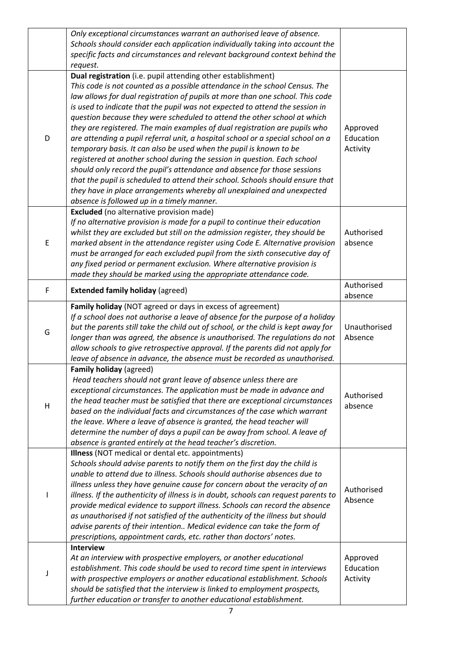|   | Only exceptional circumstances warrant an authorised leave of absence.<br>Schools should consider each application individually taking into account the |                       |
|---|---------------------------------------------------------------------------------------------------------------------------------------------------------|-----------------------|
|   | specific facts and circumstances and relevant background context behind the                                                                             |                       |
|   | request.                                                                                                                                                |                       |
|   | Dual registration (i.e. pupil attending other establishment)                                                                                            |                       |
|   | This code is not counted as a possible attendance in the school Census. The                                                                             |                       |
|   |                                                                                                                                                         |                       |
| D | law allows for dual registration of pupils at more than one school. This code                                                                           |                       |
|   | is used to indicate that the pupil was not expected to attend the session in                                                                            |                       |
|   | question because they were scheduled to attend the other school at which                                                                                |                       |
|   | they are registered. The main examples of dual registration are pupils who                                                                              | Approved<br>Education |
|   | are attending a pupil referral unit, a hospital school or a special school on a                                                                         | Activity              |
|   | temporary basis. It can also be used when the pupil is known to be                                                                                      |                       |
|   | registered at another school during the session in question. Each school                                                                                |                       |
|   | should only record the pupil's attendance and absence for those sessions                                                                                |                       |
|   | that the pupil is scheduled to attend their school. Schools should ensure that                                                                          |                       |
|   | they have in place arrangements whereby all unexplained and unexpected                                                                                  |                       |
|   | absence is followed up in a timely manner.                                                                                                              |                       |
|   | Excluded (no alternative provision made)<br>If no alternative provision is made for a pupil to continue their education                                 |                       |
|   | whilst they are excluded but still on the admission register, they should be                                                                            | Authorised            |
| E | marked absent in the attendance register using Code E. Alternative provision                                                                            | absence               |
|   | must be arranged for each excluded pupil from the sixth consecutive day of                                                                              |                       |
|   | any fixed period or permanent exclusion. Where alternative provision is                                                                                 |                       |
|   | made they should be marked using the appropriate attendance code.                                                                                       |                       |
|   |                                                                                                                                                         | Authorised            |
| F | <b>Extended family holiday (agreed)</b>                                                                                                                 | absence               |
|   | Family holiday (NOT agreed or days in excess of agreement)                                                                                              |                       |
|   | If a school does not authorise a leave of absence for the purpose of a holiday                                                                          |                       |
|   | but the parents still take the child out of school, or the child is kept away for                                                                       | Unauthorised          |
| G | longer than was agreed, the absence is unauthorised. The regulations do not                                                                             | Absence               |
|   | allow schools to give retrospective approval. If the parents did not apply for                                                                          |                       |
|   | leave of absence in advance, the absence must be recorded as unauthorised.                                                                              |                       |
|   | <b>Family holiday (agreed)</b>                                                                                                                          |                       |
|   | Head teachers should not grant leave of absence unless there are                                                                                        |                       |
|   | exceptional circumstances. The application must be made in advance and                                                                                  | Authorised            |
| H | the head teacher must be satisfied that there are exceptional circumstances                                                                             | absence               |
|   | based on the individual facts and circumstances of the case which warrant                                                                               |                       |
|   | the leave. Where a leave of absence is granted, the head teacher will                                                                                   |                       |
|   | determine the number of days a pupil can be away from school. A leave of                                                                                |                       |
|   | absence is granted entirely at the head teacher's discretion.                                                                                           |                       |
|   | Illness (NOT medical or dental etc. appointments)                                                                                                       |                       |
|   | Schools should advise parents to notify them on the first day the child is                                                                              |                       |
|   | unable to attend due to illness. Schools should authorise absences due to                                                                               |                       |
|   | illness unless they have genuine cause for concern about the veracity of an                                                                             | Authorised            |
|   | illness. If the authenticity of illness is in doubt, schools can request parents to                                                                     | Absence               |
|   | provide medical evidence to support illness. Schools can record the absence                                                                             |                       |
|   | as unauthorised if not satisfied of the authenticity of the illness but should                                                                          |                       |
|   | advise parents of their intention Medical evidence can take the form of                                                                                 |                       |
|   | prescriptions, appointment cards, etc. rather than doctors' notes.                                                                                      |                       |
|   | <b>Interview</b>                                                                                                                                        |                       |
|   | At an interview with prospective employers, or another educational                                                                                      | Approved              |
|   | establishment. This code should be used to record time spent in interviews                                                                              | Education             |
|   | with prospective employers or another educational establishment. Schools                                                                                | Activity              |
|   | should be satisfied that the interview is linked to employment prospects,                                                                               |                       |
|   | further education or transfer to another educational establishment.                                                                                     |                       |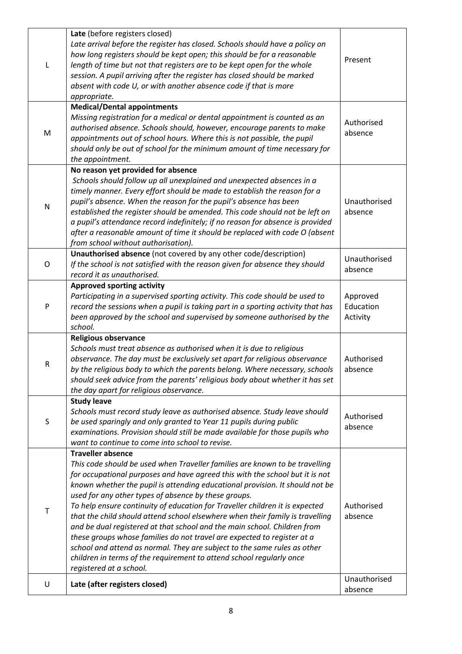|   | Late (before registers closed)<br>Late arrival before the register has closed. Schools should have a policy on<br>how long registers should be kept open; this should be for a reasonable<br>length of time but not that registers are to be kept open for the whole<br>session. A pupil arriving after the register has closed should be marked<br>absent with code U, or with another absence code if that is more<br>appropriate.                                                                                                                                                                                                                                                                                                                                                                                                   | Present                           |
|---|----------------------------------------------------------------------------------------------------------------------------------------------------------------------------------------------------------------------------------------------------------------------------------------------------------------------------------------------------------------------------------------------------------------------------------------------------------------------------------------------------------------------------------------------------------------------------------------------------------------------------------------------------------------------------------------------------------------------------------------------------------------------------------------------------------------------------------------|-----------------------------------|
| M | <b>Medical/Dental appointments</b><br>Missing registration for a medical or dental appointment is counted as an<br>authorised absence. Schools should, however, encourage parents to make<br>appointments out of school hours. Where this is not possible, the pupil<br>should only be out of school for the minimum amount of time necessary for<br>the appointment.                                                                                                                                                                                                                                                                                                                                                                                                                                                                  | Authorised<br>absence             |
| N | No reason yet provided for absence<br>Schools should follow up all unexplained and unexpected absences in a<br>timely manner. Every effort should be made to establish the reason for a<br>pupil's absence. When the reason for the pupil's absence has been<br>established the register should be amended. This code should not be left on<br>a pupil's attendance record indefinitely; if no reason for absence is provided<br>after a reasonable amount of time it should be replaced with code O (absent<br>from school without authorisation).                                                                                                                                                                                                                                                                                    | Unauthorised<br>absence           |
| O | Unauthorised absence (not covered by any other code/description)<br>If the school is not satisfied with the reason given for absence they should<br>record it as unauthorised.                                                                                                                                                                                                                                                                                                                                                                                                                                                                                                                                                                                                                                                         | Unauthorised<br>absence           |
| P | <b>Approved sporting activity</b><br>Participating in a supervised sporting activity. This code should be used to<br>record the sessions when a pupil is taking part in a sporting activity that has<br>been approved by the school and supervised by someone authorised by the<br>school.                                                                                                                                                                                                                                                                                                                                                                                                                                                                                                                                             | Approved<br>Education<br>Activity |
| R | <b>Religious observance</b><br>Schools must treat absence as authorised when it is due to religious<br>observance. The day must be exclusively set apart for religious observance<br>by the religious body to which the parents belong. Where necessary, schools<br>should seek advice from the parents' religious body about whether it has set<br>the day apart for religious observance.                                                                                                                                                                                                                                                                                                                                                                                                                                            | Authorised<br>absence             |
| S | <b>Study leave</b><br>Schools must record study leave as authorised absence. Study leave should<br>be used sparingly and only granted to Year 11 pupils during public<br>examinations. Provision should still be made available for those pupils who<br>want to continue to come into school to revise.                                                                                                                                                                                                                                                                                                                                                                                                                                                                                                                                | Authorised<br>absence             |
| Τ | <b>Traveller absence</b><br>This code should be used when Traveller families are known to be travelling<br>for occupational purposes and have agreed this with the school but it is not<br>known whether the pupil is attending educational provision. It should not be<br>used for any other types of absence by these groups.<br>To help ensure continuity of education for Traveller children it is expected<br>that the child should attend school elsewhere when their family is travelling<br>and be dual registered at that school and the main school. Children from<br>these groups whose families do not travel are expected to register at a<br>school and attend as normal. They are subject to the same rules as other<br>children in terms of the requirement to attend school regularly once<br>registered at a school. | Authorised<br>absence             |
| U | Late (after registers closed)                                                                                                                                                                                                                                                                                                                                                                                                                                                                                                                                                                                                                                                                                                                                                                                                          | Unauthorised<br>absence           |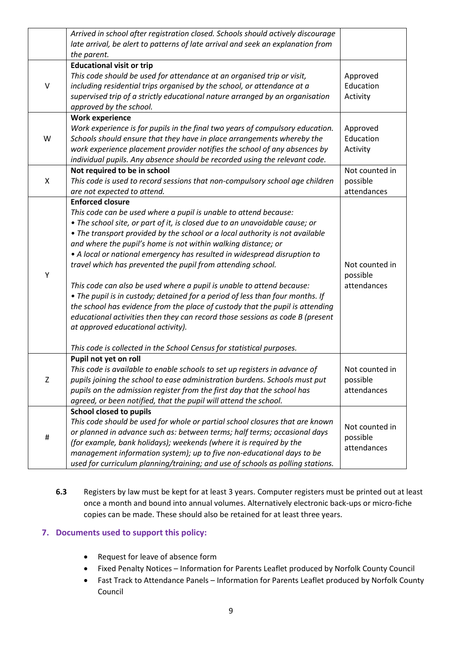|             | Arrived in school after registration closed. Schools should actively discourage<br>late arrival, be alert to patterns of late arrival and seek an explanation from<br>the parent.                                                                                                                                                                                                                                                                                                                                                                                                                                                                                                                                                                                                                                                                                                                                 |                                           |
|-------------|-------------------------------------------------------------------------------------------------------------------------------------------------------------------------------------------------------------------------------------------------------------------------------------------------------------------------------------------------------------------------------------------------------------------------------------------------------------------------------------------------------------------------------------------------------------------------------------------------------------------------------------------------------------------------------------------------------------------------------------------------------------------------------------------------------------------------------------------------------------------------------------------------------------------|-------------------------------------------|
| $\vee$      | <b>Educational visit or trip</b><br>This code should be used for attendance at an organised trip or visit,<br>including residential trips organised by the school, or attendance at a<br>supervised trip of a strictly educational nature arranged by an organisation<br>approved by the school.                                                                                                                                                                                                                                                                                                                                                                                                                                                                                                                                                                                                                  | Approved<br>Education<br>Activity         |
| W           | <b>Work experience</b><br>Work experience is for pupils in the final two years of compulsory education.<br>Schools should ensure that they have in place arrangements whereby the<br>work experience placement provider notifies the school of any absences by<br>individual pupils. Any absence should be recorded using the relevant code.                                                                                                                                                                                                                                                                                                                                                                                                                                                                                                                                                                      | Approved<br>Education<br>Activity         |
| X           | Not required to be in school<br>This code is used to record sessions that non-compulsory school age children<br>are not expected to attend.                                                                                                                                                                                                                                                                                                                                                                                                                                                                                                                                                                                                                                                                                                                                                                       | Not counted in<br>possible<br>attendances |
| Υ           | <b>Enforced closure</b><br>This code can be used where a pupil is unable to attend because:<br>• The school site, or part of it, is closed due to an unavoidable cause; or<br>• The transport provided by the school or a local authority is not available<br>and where the pupil's home is not within walking distance; or<br>• A local or national emergency has resulted in widespread disruption to<br>travel which has prevented the pupil from attending school.<br>This code can also be used where a pupil is unable to attend because:<br>• The pupil is in custody; detained for a period of less than four months. If<br>the school has evidence from the place of custody that the pupil is attending<br>educational activities then they can record those sessions as code B (present<br>at approved educational activity).<br>This code is collected in the School Census for statistical purposes. | Not counted in<br>possible<br>attendances |
| $\mathsf Z$ | Pupil not yet on roll<br>This code is available to enable schools to set up registers in advance of<br>pupils joining the school to ease administration burdens. Schools must put<br>pupils on the admission register from the first day that the school has<br>agreed, or been notified, that the pupil will attend the school.                                                                                                                                                                                                                                                                                                                                                                                                                                                                                                                                                                                  | Not counted in<br>possible<br>attendances |
| #           | School closed to pupils<br>This code should be used for whole or partial school closures that are known<br>or planned in advance such as: between terms; half terms; occasional days<br>(for example, bank holidays); weekends (where it is required by the<br>management information system); up to five non-educational days to be<br>used for curriculum planning/training; and use of schools as polling stations.                                                                                                                                                                                                                                                                                                                                                                                                                                                                                            | Not counted in<br>possible<br>attendances |

**6.3** Registers by law must be kept for at least 3 years. Computer registers must be printed out at least once a month and bound into annual volumes. Alternatively electronic back-ups or micro-fiche copies can be made. These should also be retained for at least three years.

# **7. Documents used to support this policy:**

- Request for leave of absence form
- Fixed Penalty Notices Information for Parents Leaflet produced by Norfolk County Council
- Fast Track to Attendance Panels Information for Parents Leaflet produced by Norfolk County Council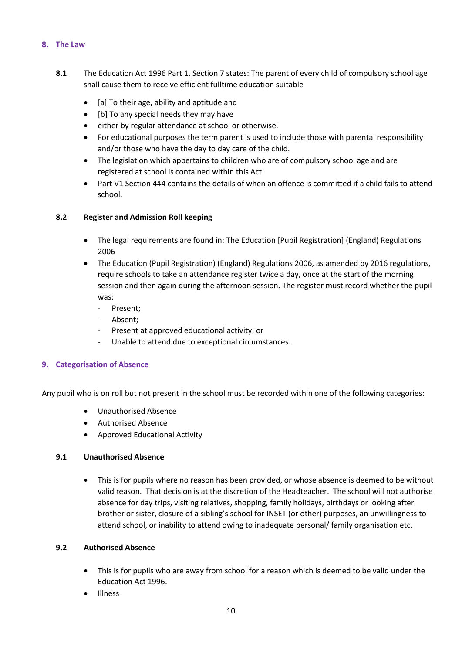## **8. The Law**

- **8.1** The Education Act 1996 Part 1, Section 7 states: The parent of every child of compulsory school age shall cause them to receive efficient fulltime education suitable
	- [a] To their age, ability and aptitude and
	- [b] To any special needs they may have
	- either by regular attendance at school or otherwise.
	- For educational purposes the term parent is used to include those with parental responsibility and/or those who have the day to day care of the child.
	- The legislation which appertains to children who are of compulsory school age and are registered at school is contained within this Act.
	- Part V1 Section 444 contains the details of when an offence is committed if a child fails to attend school.

# **8.2 Register and Admission Roll keeping**

- The legal requirements are found in: The Education [Pupil Registration] (England) Regulations 2006
- The Education (Pupil Registration) (England) Regulations 2006, as amended by 2016 regulations, require schools to take an attendance register twice a day, once at the start of the morning session and then again during the afternoon session. The register must record whether the pupil was:
	- Present;
	- Absent;
	- Present at approved educational activity; or
	- Unable to attend due to exceptional circumstances.

# **9. Categorisation of Absence**

Any pupil who is on roll but not present in the school must be recorded within one of the following categories:

- Unauthorised Absence
- Authorised Absence
- Approved Educational Activity

# **9.1 Unauthorised Absence**

• This is for pupils where no reason has been provided, or whose absence is deemed to be without valid reason. That decision is at the discretion of the Headteacher. The school will not authorise absence for day trips, visiting relatives, shopping, family holidays, birthdays or looking after brother or sister, closure of a sibling's school for INSET (or other) purposes, an unwillingness to attend school, or inability to attend owing to inadequate personal/ family organisation etc.

# **9.2 Authorised Absence**

- This is for pupils who are away from school for a reason which is deemed to be valid under the Education Act 1996.
- Illness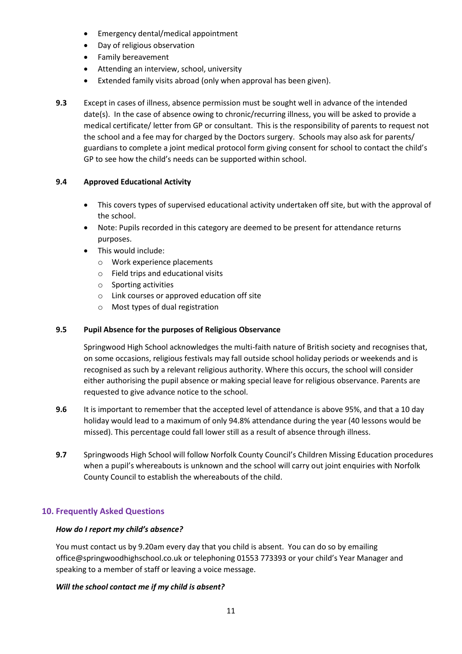- Emergency dental/medical appointment
- Day of religious observation
- Family bereavement
- Attending an interview, school, university
- Extended family visits abroad (only when approval has been given).
- **9.3** Except in cases of illness, absence permission must be sought well in advance of the intended date(s). In the case of absence owing to chronic/recurring illness, you will be asked to provide a medical certificate/ letter from GP or consultant. This is the responsibility of parents to request not the school and a fee may for charged by the Doctors surgery. Schools may also ask for parents/ guardians to complete a joint medical protocol form giving consent for school to contact the child's GP to see how the child's needs can be supported within school.

# **9.4 Approved Educational Activity**

- This covers types of supervised educational activity undertaken off site, but with the approval of the school.
- Note: Pupils recorded in this category are deemed to be present for attendance returns purposes.
- This would include:
	- o Work experience placements
	- o Field trips and educational visits
	- o Sporting activities
	- o Link courses or approved education off site
	- o Most types of dual registration

# **9.5 Pupil Absence for the purposes of Religious Observance**

Springwood High School acknowledges the multi-faith nature of British society and recognises that, on some occasions, religious festivals may fall outside school holiday periods or weekends and is recognised as such by a relevant religious authority. Where this occurs, the school will consider either authorising the pupil absence or making special leave for religious observance. Parents are requested to give advance notice to the school.

- **9.6** It is important to remember that the accepted level of attendance is above 95%, and that a 10 day holiday would lead to a maximum of only 94.8% attendance during the year (40 lessons would be missed). This percentage could fall lower still as a result of absence through illness.
- **9.7** Springwoods High School will follow Norfolk County Council's Children Missing Education procedures when a pupil's whereabouts is unknown and the school will carry out joint enquiries with Norfolk County Council to establish the whereabouts of the child.

# **10. Frequently Asked Questions**

# *How do I report my child's absence?*

You must contact us by 9.20am every day that you child is absent. You can do so by emailing office@springwoodhighschool.co.uk or telephoning 01553 773393 or your child's Year Manager and speaking to a member of staff or leaving a voice message.

# *Will the school contact me if my child is absent?*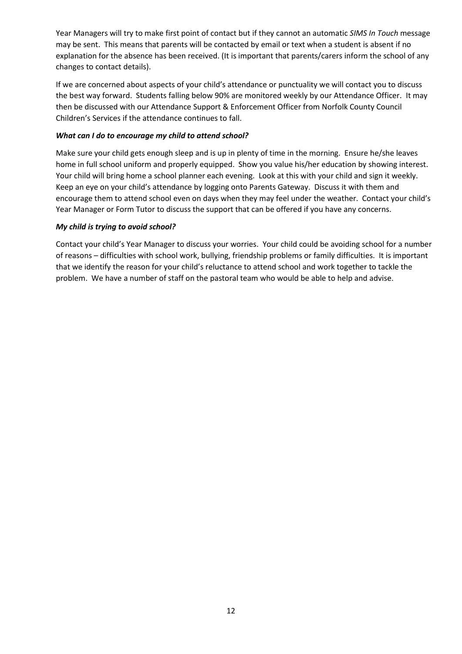Year Managers will try to make first point of contact but if they cannot an automatic *SIMS In Touch* message may be sent. This means that parents will be contacted by email or text when a student is absent if no explanation for the absence has been received. (It is important that parents/carers inform the school of any changes to contact details).

If we are concerned about aspects of your child's attendance or punctuality we will contact you to discuss the best way forward. Students falling below 90% are monitored weekly by our Attendance Officer. It may then be discussed with our Attendance Support & Enforcement Officer from Norfolk County Council Children's Services if the attendance continues to fall.

## *What can I do to encourage my child to attend school?*

Make sure your child gets enough sleep and is up in plenty of time in the morning. Ensure he/she leaves home in full school uniform and properly equipped. Show you value his/her education by showing interest. Your child will bring home a school planner each evening. Look at this with your child and sign it weekly. Keep an eye on your child's attendance by logging onto Parents Gateway. Discuss it with them and encourage them to attend school even on days when they may feel under the weather. Contact your child's Year Manager or Form Tutor to discuss the support that can be offered if you have any concerns.

#### *My child is trying to avoid school?*

Contact your child's Year Manager to discuss your worries. Your child could be avoiding school for a number of reasons – difficulties with school work, bullying, friendship problems or family difficulties. It is important that we identify the reason for your child's reluctance to attend school and work together to tackle the problem. We have a number of staff on the pastoral team who would be able to help and advise.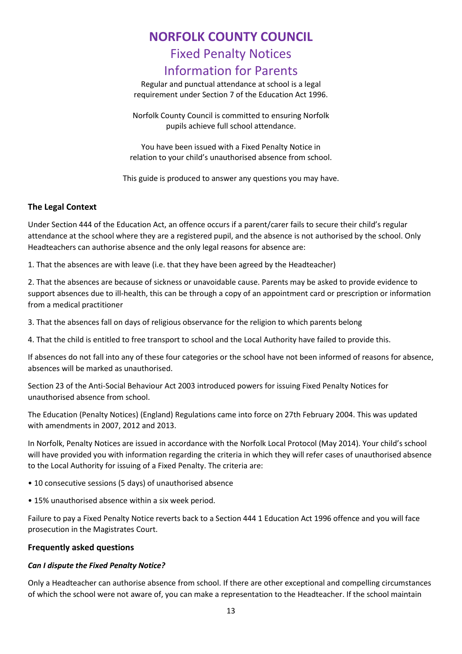# **NORFOLK COUNTY COUNCIL**

# Fixed Penalty Notices

# Information for Parents

Regular and punctual attendance at school is a legal requirement under Section 7 of the Education Act 1996.

Norfolk County Council is committed to ensuring Norfolk pupils achieve full school attendance.

You have been issued with a Fixed Penalty Notice in relation to your child's unauthorised absence from school.

This guide is produced to answer any questions you may have.

# **The Legal Context**

Under Section 444 of the Education Act, an offence occurs if a parent/carer fails to secure their child's regular attendance at the school where they are a registered pupil, and the absence is not authorised by the school. Only Headteachers can authorise absence and the only legal reasons for absence are:

1. That the absences are with leave (i.e. that they have been agreed by the Headteacher)

2. That the absences are because of sickness or unavoidable cause. Parents may be asked to provide evidence to support absences due to ill-health, this can be through a copy of an appointment card or prescription or information from a medical practitioner

3. That the absences fall on days of religious observance for the religion to which parents belong

4. That the child is entitled to free transport to school and the Local Authority have failed to provide this.

If absences do not fall into any of these four categories or the school have not been informed of reasons for absence, absences will be marked as unauthorised.

Section 23 of the Anti-Social Behaviour Act 2003 introduced powers for issuing Fixed Penalty Notices for unauthorised absence from school.

The Education (Penalty Notices) (England) Regulations came into force on 27th February 2004. This was updated with amendments in 2007, 2012 and 2013.

In Norfolk, Penalty Notices are issued in accordance with the Norfolk Local Protocol (May 2014). Your child's school will have provided you with information regarding the criteria in which they will refer cases of unauthorised absence to the Local Authority for issuing of a Fixed Penalty. The criteria are:

- 10 consecutive sessions (5 days) of unauthorised absence
- 15% unauthorised absence within a six week period.

Failure to pay a Fixed Penalty Notice reverts back to a Section 444 1 Education Act 1996 offence and you will face prosecution in the Magistrates Court.

# **Frequently asked questions**

# *Can I dispute the Fixed Penalty Notice?*

Only a Headteacher can authorise absence from school. If there are other exceptional and compelling circumstances of which the school were not aware of, you can make a representation to the Headteacher. If the school maintain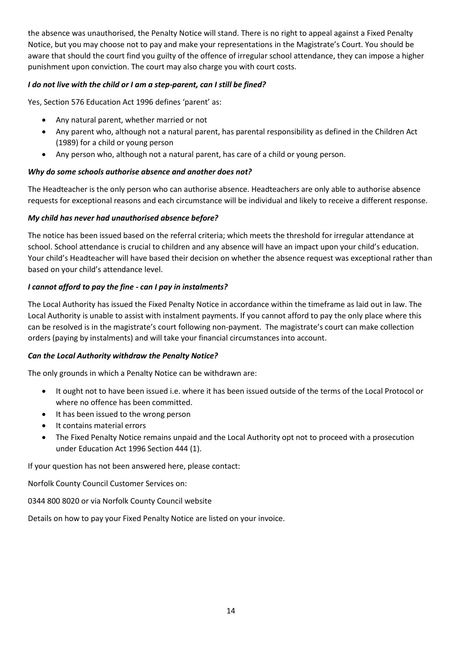the absence was unauthorised, the Penalty Notice will stand. There is no right to appeal against a Fixed Penalty Notice, but you may choose not to pay and make your representations in the Magistrate's Court. You should be aware that should the court find you guilty of the offence of irregular school attendance, they can impose a higher punishment upon conviction. The court may also charge you with court costs.

# *I do not live with the child or I am a step-parent, can I still be fined?*

Yes, Section 576 Education Act 1996 defines 'parent' as:

- Any natural parent, whether married or not
- Any parent who, although not a natural parent, has parental responsibility as defined in the Children Act (1989) for a child or young person
- Any person who, although not a natural parent, has care of a child or young person.

# *Why do some schools authorise absence and another does not?*

The Headteacher is the only person who can authorise absence. Headteachers are only able to authorise absence requests for exceptional reasons and each circumstance will be individual and likely to receive a different response.

# *My child has never had unauthorised absence before?*

The notice has been issued based on the referral criteria; which meets the threshold for irregular attendance at school. School attendance is crucial to children and any absence will have an impact upon your child's education. Your child's Headteacher will have based their decision on whether the absence request was exceptional rather than based on your child's attendance level.

# *I cannot afford to pay the fine - can I pay in instalments?*

The Local Authority has issued the Fixed Penalty Notice in accordance within the timeframe as laid out in law. The Local Authority is unable to assist with instalment payments. If you cannot afford to pay the only place where this can be resolved is in the magistrate's court following non-payment. The magistrate's court can make collection orders (paying by instalments) and will take your financial circumstances into account.

# *Can the Local Authority withdraw the Penalty Notice?*

The only grounds in which a Penalty Notice can be withdrawn are:

- It ought not to have been issued i.e. where it has been issued outside of the terms of the Local Protocol or where no offence has been committed.
- It has been issued to the wrong person
- It contains material errors
- The Fixed Penalty Notice remains unpaid and the Local Authority opt not to proceed with a prosecution under Education Act 1996 Section 444 (1).

If your question has not been answered here, please contact:

Norfolk County Council Customer Services on:

0344 800 8020 or via Norfolk County Council website

Details on how to pay your Fixed Penalty Notice are listed on your invoice.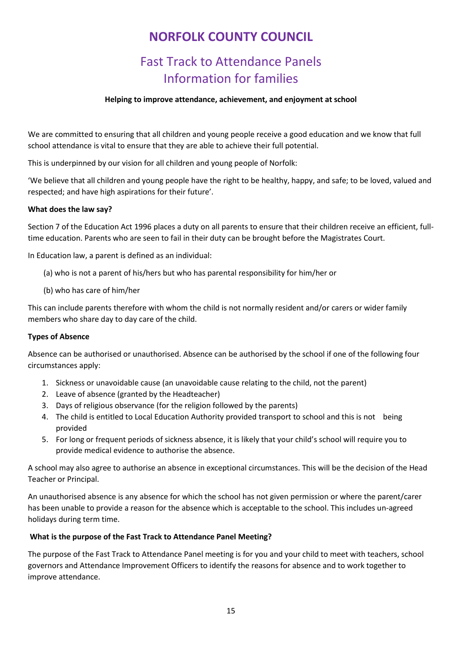# **NORFOLK COUNTY COUNCIL**

# Fast Track to Attendance Panels Information for families

## **Helping to improve attendance, achievement, and enjoyment at school**

We are committed to ensuring that all children and young people receive a good education and we know that full school attendance is vital to ensure that they are able to achieve their full potential.

This is underpinned by our vision for all children and young people of Norfolk:

'We believe that all children and young people have the right to be healthy, happy, and safe; to be loved, valued and respected; and have high aspirations for their future'.

#### **What does the law say?**

Section 7 of the Education Act 1996 places a duty on all parents to ensure that their children receive an efficient, fulltime education. Parents who are seen to fail in their duty can be brought before the Magistrates Court.

In Education law, a parent is defined as an individual:

- (a) who is not a parent of his/hers but who has parental responsibility for him/her or
- (b) who has care of him/her

This can include parents therefore with whom the child is not normally resident and/or carers or wider family members who share day to day care of the child.

#### **Types of Absence**

Absence can be authorised or unauthorised. Absence can be authorised by the school if one of the following four circumstances apply:

- 1. Sickness or unavoidable cause (an unavoidable cause relating to the child, not the parent)
- 2. Leave of absence (granted by the Headteacher)
- 3. Days of religious observance (for the religion followed by the parents)
- 4. The child is entitled to Local Education Authority provided transport to school and this is not being provided
- 5. For long or frequent periods of sickness absence, it is likely that your child's school will require you to provide medical evidence to authorise the absence.

A school may also agree to authorise an absence in exceptional circumstances. This will be the decision of the Head Teacher or Principal.

An unauthorised absence is any absence for which the school has not given permission or where the parent/carer has been unable to provide a reason for the absence which is acceptable to the school. This includes un-agreed holidays during term time.

#### **What is the purpose of the Fast Track to Attendance Panel Meeting?**

The purpose of the Fast Track to Attendance Panel meeting is for you and your child to meet with teachers, school governors and Attendance Improvement Officers to identify the reasons for absence and to work together to improve attendance.